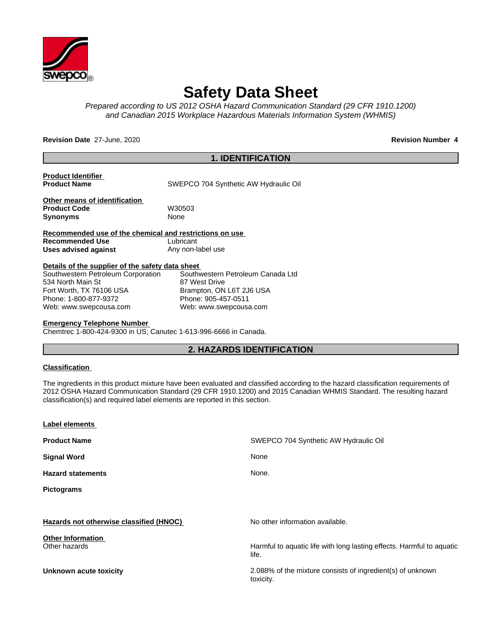

# **Safety Data Sheet**

*Prepared according to US 2012 OSHA Hazard Communication Standard (29 CFR 1910.1200) and Canadian 2015 Workplace Hazardous Materials Information System (WHMIS)*

**Revision Date** 27-June, 2020 **Revision Number 4 Revision Number** 4

# **1. IDENTIFICATION**

**Product Identifier**

**SWEPCO 704 Synthetic AW Hydraulic Oil** 

**Other means of identification** Product Code W30503 **Synonyms** None

**Recommended use of the chemical and restrictions on use Recommended Use** Lubricant **Uses advised against** Any non-label use

#### **Details of the supplier of the safety data sheet**

| Southwestern Petroleum Corporation | Southwestern Petroleum Canada Ltd |
|------------------------------------|-----------------------------------|
| 534 North Main St                  | 87 West Drive                     |
| Fort Worth, TX 76106 USA           | Brampton, ON L6T 2J6 USA          |
| Phone: 1-800-877-9372              | Phone: 905-457-0511               |
| Web: www.swepcousa.com             | Web: www.swepcousa.com            |

#### **Emergency Telephone Number**

Chemtrec 1-800-424-9300 in US; Canutec 1-613-996-6666 in Canada.

# **2. HAZARDS IDENTIFICATION**

#### **Classification**

The ingredients in this product mixture have been evaluated and classified according to the hazard classification requirements of 2012 OSHA Hazard Communication Standard (29 CFR 1910.1200) and 2015 Canadian WHMIS Standard. The resulting hazard classification(s) and required label elements are reported in this section.

| Label elements                            |                                                                                |
|-------------------------------------------|--------------------------------------------------------------------------------|
| <b>Product Name</b>                       | SWEPCO 704 Synthetic AW Hydraulic Oil                                          |
| <b>Signal Word</b>                        | None                                                                           |
| <b>Hazard statements</b>                  | None.                                                                          |
| <b>Pictograms</b>                         |                                                                                |
|                                           |                                                                                |
| Hazards not otherwise classified (HNOC)   | No other information available.                                                |
| <b>Other Information</b><br>Other hazards | Harmful to aquatic life with long lasting effects. Harmful to aquatic<br>life. |
| <b>Unknown acute toxicity</b>             | 2.088% of the mixture consists of ingredient(s) of unknown<br>toxicity.        |
|                                           |                                                                                |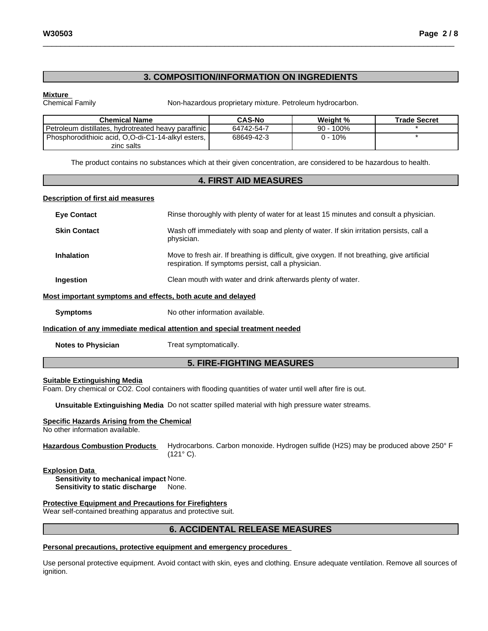# \_\_\_\_\_\_\_\_\_\_\_\_\_\_\_\_\_\_\_\_\_\_\_\_\_\_\_\_\_\_\_\_\_\_\_\_\_\_\_\_\_\_\_\_\_\_\_\_\_\_\_\_\_\_\_\_\_\_\_\_\_\_\_\_\_\_\_\_\_\_\_\_\_\_\_\_\_\_\_\_\_\_\_\_\_\_\_\_\_\_\_\_\_ **W30503 Page 2 / 8**

# **3. COMPOSITION/INFORMATION ON INGREDIENTS**

**Mixture**<br>Chemical Family

Non-hazardous proprietary mixture. Petroleum hydrocarbon.

| Chemical Name                                        | <b>CAS-No</b> | Weiaht %  | <b>Trade Secret</b> |
|------------------------------------------------------|---------------|-----------|---------------------|
| Petroleum distillates, hydrotreated heavy paraffinic | 64742-54-7    | 90 - 100% |                     |
| Phosphorodithioic acid, O,O-di-C1-14-alkyl esters,   | 68649-42-3    | 0 - 10%   |                     |
| zinc salts                                           |               |           |                     |

The product contains no substances which at their given concentration, are considered to be hazardous to health.

### **4. FIRST AID MEASURES**

#### **Description of first aid measures**

| <b>Eye Contact</b>                                          | Rinse thoroughly with plenty of water for at least 15 minutes and consult a physician.                                                              |
|-------------------------------------------------------------|-----------------------------------------------------------------------------------------------------------------------------------------------------|
| <b>Skin Contact</b>                                         | Wash off immediately with soap and plenty of water. If skin irritation persists, call a<br>physician.                                               |
| <b>Inhalation</b>                                           | Move to fresh air. If breathing is difficult, give oxygen. If not breathing, give artificial<br>respiration. If symptoms persist, call a physician. |
| Ingestion                                                   | Clean mouth with water and drink afterwards plenty of water.                                                                                        |
| Most important symptoms and effects, both acute and delayed |                                                                                                                                                     |
| <b>Symptoms</b>                                             | No other information available.                                                                                                                     |
|                                                             | Indication of any immediate medical attention and special treatment needed                                                                          |

**Notes to Physician** Treat symptomatically.

# **5. FIRE-FIGHTING MEASURES**

#### **Suitable Extinguishing Media**

Foam. Dry chemical or CO2. Cool containers with flooding quantities of water until well after fire is out.

**Unsuitable Extinguishing Media** Do not scatter spilled material with high pressure water streams.

#### **Specific Hazards Arising from the Chemical**

No other information available.

**Hazardous Combustion Products** Hydrocarbons. Carbon monoxide. Hydrogen sulfide (H2S) may be produced above 250° F (121° C).

#### **Explosion Data**

**Sensitivity to mechanical impact** None. **Sensitivity to static discharge** None.

#### **Protective Equipment and Precautions for Firefighters**

Wear self-contained breathing apparatus and protective suit.

# **6. ACCIDENTAL RELEASE MEASURES**

#### **Personal precautions, protective equipment and emergency procedures**

Use personal protective equipment.Avoid contact with skin, eyes and clothing. Ensure adequate ventilation. Remove all sources of ignition.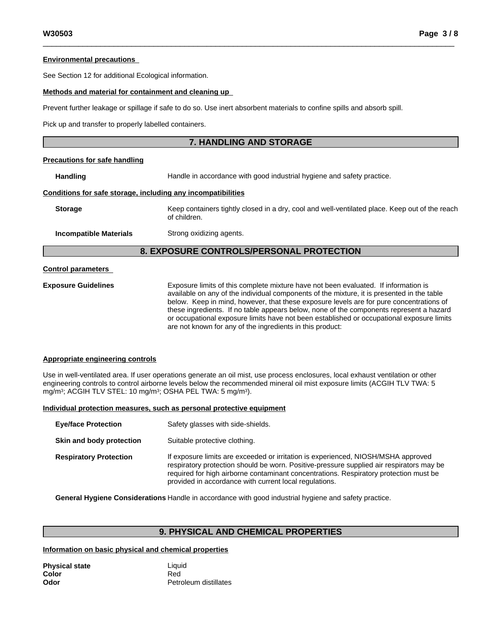#### **Environmental precautions**

See Section 12 for additional Ecological information.

#### **Methods and material for containment and cleaning up**

Prevent further leakage or spillage if safe to do so. Use inert absorbent materials to confine spills and absorb spill.

Pick up and transfer to properly labelled containers.

# **7. HANDLING AND STORAGE**

#### **Precautions for safe handling**

**Handling Handle** in accordance with good industrial hygiene and safety practice.

#### **Conditions for safe storage, including any incompatibilities**

**Storage** Keep containers tightly closed in a dry, cool and well-ventilated place. Keep out of the reach of children.

**Incompatible Materials** Strong oxidizing agents.

# **8. EXPOSURE CONTROLS/PERSONAL PROTECTION**

#### **Control parameters**

**Exposure Guidelines** Exposure limits of this complete mixture have not been evaluated. If information is available on any of the individual components of the mixture, it is presented in the table below. Keep in mind, however, that these exposure levels are for pure concentrations of these ingredients. If no table appears below, none of the components represent a hazard or occupational exposure limits have not been established or occupational exposure limits are not known for any of the ingredients in this product:

#### **Appropriate engineering controls**

Use in well-ventilated area. If user operations generate an oil mist, use process enclosures, local exhaust ventilation or other engineering controls to control airborne levels below the recommended mineral oil mist exposure limits (ACGIH TLV TWA: 5 mg/m3; ACGIH TLV STEL: 10 mg/m3; OSHA PEL TWA: 5 mg/m3).

#### **Individual protection measures, such as personal protective equipment**

| <b>Eye/face Protection</b>    | Safety glasses with side-shields.                                                                                                                                                                                                                                                                                                |
|-------------------------------|----------------------------------------------------------------------------------------------------------------------------------------------------------------------------------------------------------------------------------------------------------------------------------------------------------------------------------|
| Skin and body protection      | Suitable protective clothing.                                                                                                                                                                                                                                                                                                    |
| <b>Respiratory Protection</b> | If exposure limits are exceeded or irritation is experienced, NIOSH/MSHA approved<br>respiratory protection should be worn. Positive-pressure supplied air respirators may be<br>required for high airborne contaminant concentrations. Respiratory protection must be<br>provided in accordance with current local regulations. |

**General Hygiene Considerations** Handle in accordance with good industrial hygiene and safety practice.

# **9. PHYSICAL AND CHEMICAL PROPERTIES**

#### **Information on basic physical and chemical properties**

| Physical state | Liquid                |
|----------------|-----------------------|
| Color          | Red                   |
| Odor           | Petroleum distillates |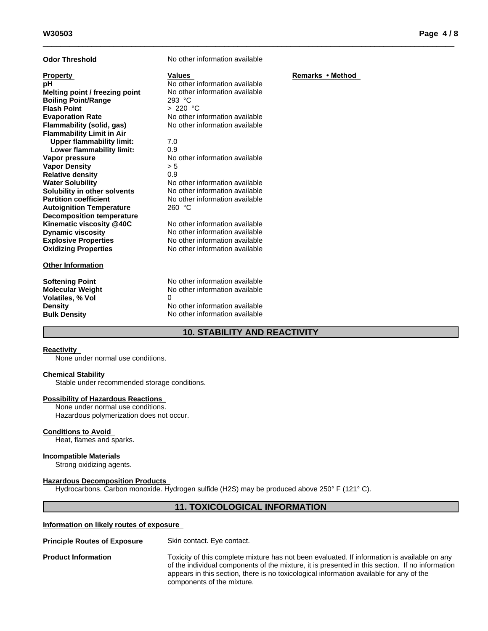| <b>Odor Threshold</b>                                                                                                                                                                                                                                                                                                                                                                                                                                                                                                                                                   | No other information available                                                                                                                                                                                                                                                                                                                                                                                                |                  |
|-------------------------------------------------------------------------------------------------------------------------------------------------------------------------------------------------------------------------------------------------------------------------------------------------------------------------------------------------------------------------------------------------------------------------------------------------------------------------------------------------------------------------------------------------------------------------|-------------------------------------------------------------------------------------------------------------------------------------------------------------------------------------------------------------------------------------------------------------------------------------------------------------------------------------------------------------------------------------------------------------------------------|------------------|
| <b>Property</b><br>рH<br>Melting point / freezing point<br><b>Boiling Point/Range</b><br><b>Flash Point</b><br><b>Evaporation Rate</b><br>Flammability (solid, gas)<br><b>Flammability Limit in Air</b><br><b>Upper flammability limit:</b><br>Lower flammability limit:<br>Vapor pressure<br><b>Vapor Density</b><br><b>Relative density</b><br><b>Water Solubility</b><br>Solubility in other solvents<br><b>Partition coefficient</b><br><b>Autoignition Temperature</b><br><b>Decomposition temperature</b><br>Kinematic viscosity @40C<br><b>Dynamic viscosity</b> | <b>Values</b><br>No other information available<br>No other information available<br>293 °C<br>> 220 °C<br>No other information available<br>No other information available<br>7.0<br>0.9<br>No other information available<br>> 5<br>0.9<br>No other information available<br>No other information available<br>No other information available<br>260 °C<br>No other information available<br>No other information available | Remarks • Method |
| <b>Explosive Properties</b><br><b>Oxidizing Properties</b>                                                                                                                                                                                                                                                                                                                                                                                                                                                                                                              | No other information available<br>No other information available                                                                                                                                                                                                                                                                                                                                                              |                  |
| <b>Other Information</b>                                                                                                                                                                                                                                                                                                                                                                                                                                                                                                                                                |                                                                                                                                                                                                                                                                                                                                                                                                                               |                  |
| <b>Softening Point</b><br><b>Molecular Weight</b><br><b>Volatiles, % Vol</b><br><b>Density</b><br><b>Bulk Density</b>                                                                                                                                                                                                                                                                                                                                                                                                                                                   | No other information available<br>No other information available<br>0<br>No other information available<br>No other information available                                                                                                                                                                                                                                                                                     |                  |

# **10. STABILITY AND REACTIVITY**

#### **Reactivity**

None under normal use conditions.

#### **Chemical Stability**

Stable under recommended storage conditions.

#### **Possibility of Hazardous Reactions**

None under normal use conditions. Hazardous polymerization does not occur.

#### **Conditions to Avoid**

Heat, flames and sparks.

### **Incompatible Materials**

Strong oxidizing agents.

#### **Hazardous Decomposition Products**

Hydrocarbons. Carbon monoxide. Hydrogen sulfide (H2S) may be produced above 250° F (121° C).

# **11. TOXICOLOGICAL INFORMATION**

#### **Information on likely routes of exposure**

| <b>Principle Routes of Exposure</b> | Skin contact. Eye contact. |
|-------------------------------------|----------------------------|
|                                     |                            |

**Product Information** Toxicity of this complete mixture has not been evaluated. If information is available on any of the individual components of the mixture, it is presented in this section. If no information appears in this section, there is no toxicological information available for any of the components of the mixture.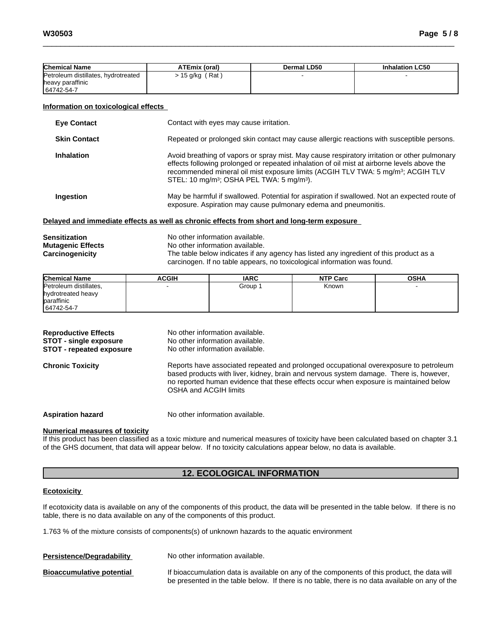| <b>Chemical Name</b>                | <b>ATEmix (oral)</b> | Dermal LD50 | <b>Inhalation LC50</b> |
|-------------------------------------|----------------------|-------------|------------------------|
| Petroleum distillates, hydrotreated | $15$ g/kg (Rat)      |             |                        |
| heavy paraffinic                    |                      |             |                        |
| 64742-54-7                          |                      |             |                        |

#### **Information on toxicological effects**

| <b>Eye Contact</b>  | Contact with eyes may cause irritation.                                                                                                                                                                                                                                                                                                                          |
|---------------------|------------------------------------------------------------------------------------------------------------------------------------------------------------------------------------------------------------------------------------------------------------------------------------------------------------------------------------------------------------------|
| <b>Skin Contact</b> | Repeated or prolonged skin contact may cause allergic reactions with susceptible persons.                                                                                                                                                                                                                                                                        |
| <b>Inhalation</b>   | Avoid breathing of vapors or spray mist. May cause respiratory irritation or other pulmonary<br>effects following prolonged or repeated inhalation of oil mist at airborne levels above the<br>recommended mineral oil mist exposure limits (ACGIH TLV TWA: 5 mg/m <sup>3</sup> ; ACGIH TLV<br>STEL: 10 mg/m <sup>3</sup> ; OSHA PEL TWA: 5 mg/m <sup>3</sup> ). |
| Ingestion           | May be harmful if swallowed. Potential for aspiration if swallowed. Not an expected route of<br>exposure. Aspiration may cause pulmonary edema and pneumonitis.                                                                                                                                                                                                  |

#### **Delayed and immediate effects as well as chronic effects from short and long-term exposure**

| Sensitization            | No other information available.                                                        |
|--------------------------|----------------------------------------------------------------------------------------|
| <b>Mutagenic Effects</b> | No other information available.                                                        |
| Carcinogenicity          | The table below indicates if any agency has listed any ingredient of this product as a |
|                          | carcinogen. If no table appears, no toxicological information was found.               |

| <b>Chemical Name</b>   | <b>ACGIH</b> | <b>IARC</b> | <b>NTP Carc</b> | <b>OSHA</b> |
|------------------------|--------------|-------------|-----------------|-------------|
| Petroleum distillates, |              | Group       | Known           |             |
| hydrotreated heavy     |              |             |                 |             |
| paraffinic             |              |             |                 |             |
| 64742-54-7             |              |             |                 |             |

| <b>Reproductive Effects</b><br><b>STOT - single exposure</b><br><b>STOT - repeated exposure</b> | No other information available.<br>No other information available.<br>No other information available.                                                                                                                                                                                             |
|-------------------------------------------------------------------------------------------------|---------------------------------------------------------------------------------------------------------------------------------------------------------------------------------------------------------------------------------------------------------------------------------------------------|
| <b>Chronic Toxicity</b>                                                                         | Reports have associated repeated and prolonged occupational overexposure to petroleum<br>based products with liver, kidney, brain and nervous system damage. There is, however,<br>no reported human evidence that these effects occur when exposure is maintained below<br>OSHA and ACGIH limits |
| <b>Aspiration hazard</b>                                                                        | No other information available.                                                                                                                                                                                                                                                                   |

#### **Numerical measures of toxicity**

If this product has been classified as a toxic mixture and numerical measures of toxicity have been calculated based on chapter 3.1 of the GHS document, that data will appear below. If no toxicity calculations appear below, no data is available.

# **12. ECOLOGICAL INFORMATION**

## **Ecotoxicity**

If ecotoxicity data is available on any of the components of this product, the data will be presented in the table below. If there is no table, there is no data available on any of the components of this product.

1.763 % of the mixture consists of components(s) of unknown hazards to the aquatic environment

| Persistence/Degradability | No other information available.                                                                                                                                                                 |
|---------------------------|-------------------------------------------------------------------------------------------------------------------------------------------------------------------------------------------------|
| Bioaccumulative potential | If bioaccumulation data is available on any of the components of this product, the data will<br>be presented in the table below. If there is no table, there is no data available on any of the |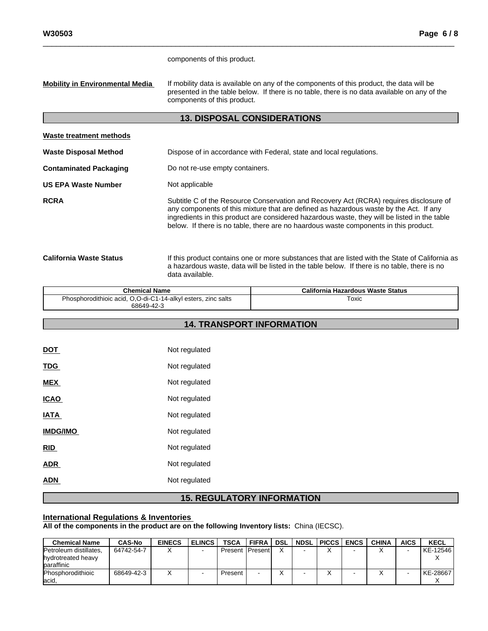components of this product.

**Mobility in Environmental Media** If mobility data is available on any of the components of this product, the data will be presented in the table below. If there is no table, there is no data available on any of the components of this product.

# **13. DISPOSAL CONSIDERATIONS**

| Waste treatment methods        |                                                                                                                                                                                                                                                                                                                                                                         |
|--------------------------------|-------------------------------------------------------------------------------------------------------------------------------------------------------------------------------------------------------------------------------------------------------------------------------------------------------------------------------------------------------------------------|
| <b>Waste Disposal Method</b>   | Dispose of in accordance with Federal, state and local regulations.                                                                                                                                                                                                                                                                                                     |
| <b>Contaminated Packaging</b>  | Do not re-use empty containers.                                                                                                                                                                                                                                                                                                                                         |
| <b>US EPA Waste Number</b>     | Not applicable                                                                                                                                                                                                                                                                                                                                                          |
| <b>RCRA</b>                    | Subtitle C of the Resource Conservation and Recovery Act (RCRA) requires disclosure of<br>any components of this mixture that are defined as hazardous waste by the Act. If any<br>ingredients in this product are considered hazardous waste, they will be listed in the table<br>below. If there is no table, there are no haardous waste components in this product. |
| <b>California Waste Status</b> | If this product contains one or more substances that are listed with the State of California as<br>a hazardous waste, data will be listed in the table below. If there is no table, there is no<br>data available.                                                                                                                                                      |

| <b>Chemical Name</b>                                          | California Hazardous Waste Status |
|---------------------------------------------------------------|-----------------------------------|
| Phosphorodithioic acid, O,O-di-C1-14-alkyl esters, zinc salts | Toxic                             |
| 68649-42-3                                                    |                                   |

**14. TRANSPORT INFORMATION**

# DOT Not regulated TDG Not regulated **MEX** Not regulated **ICAO** Not regulated **IATA** Not regulated **IMDG/IMO** Not regulated **RID** Not regulated ADR Not regulated ADN Not regulated

# **15. REGULATORY INFORMATION**

# **International Regulations & Inventories**

**All of the components in the product are on the following Inventory lists:** China (IECSC).

| <b>Chemical Name</b>             | <b>CAS-No</b> | <b>EINECS</b> | <b>ELINCS</b> | <b>TSCA</b>              | ı FIFRA | DSL | NDSL PICCS | <b>ENCS</b> | <b>CHINA</b> | <b>AICS</b> | <b>KECL</b> |
|----------------------------------|---------------|---------------|---------------|--------------------------|---------|-----|------------|-------------|--------------|-------------|-------------|
| Petroleum distillates,           | 64742-54-7    |               |               | <b>Present IPresenti</b> |         |     |            |             |              |             | KE-12546    |
| hydrotreated heavy<br>baraffinic |               |               |               |                          |         |     |            |             |              |             |             |
| <b>Phosphorodithioic</b>         | 68649-42-3    |               |               | Present                  |         |     |            |             |              |             | KE-28667    |
| lacid,                           |               |               |               |                          |         |     |            |             |              |             |             |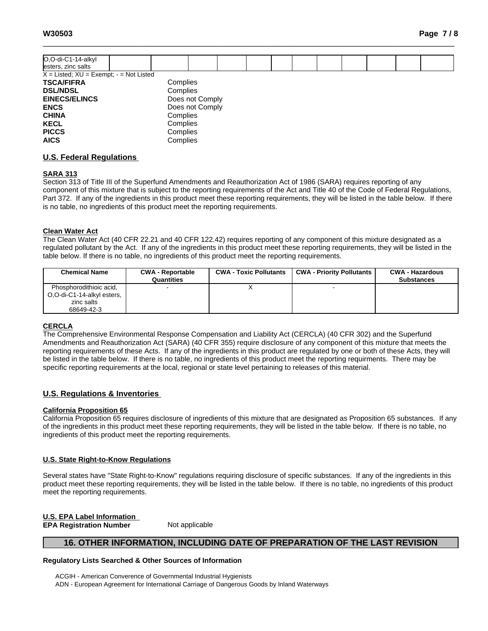| O,O-di-C1-14-alkyl                            |                 |  |  |  |  |  |
|-----------------------------------------------|-----------------|--|--|--|--|--|
| esters, zinc salts                            |                 |  |  |  |  |  |
| $X =$ Listed; $XU =$ Exempt; $-$ = Not Listed |                 |  |  |  |  |  |
| <b>TSCA/FIFRA</b>                             | Complies        |  |  |  |  |  |
| <b>DSL/NDSL</b>                               | Complies        |  |  |  |  |  |
| <b>EINECS/ELINCS</b>                          | Does not Comply |  |  |  |  |  |
| <b>ENCS</b>                                   | Does not Comply |  |  |  |  |  |
| <b>CHINA</b>                                  | Complies        |  |  |  |  |  |
| <b>KECL</b>                                   | Complies        |  |  |  |  |  |
| <b>PICCS</b>                                  | Complies        |  |  |  |  |  |
| <b>AICS</b>                                   | Complies        |  |  |  |  |  |

## **U.S. Federal Regulations**

#### **SARA 313**

Section 313 of Title III of the Superfund Amendments and Reauthorization Act of 1986 (SARA) requires reporting of any component of this mixture that is subject to the reporting requirements of the Act and Title 40 of the Code of Federal Regulations, Part 372. If any of the ingredients in this product meet these reporting requirements, they will be listed in the table below. If there is no table, no ingredients of this product meet the reporting requirements.

#### **Clean Water Act**

The Clean Water Act (40 CFR 22.21 and 40 CFR 122.42) requires reporting of any component of this mixture designated as a regulated pollutant by the Act. If any of the ingredients in this product meet these reporting requirements, they will be listed in the table below. If there is no table, no ingredients of this product meet the reporting requirements.

| <b>Chemical Name</b>                                                              | <b>CWA - Reportable</b><br>Quantities | <b>CWA - Toxic Pollutants</b> | CWA - Priority Pollutants | <b>CWA - Hazardous</b><br><b>Substances</b> |
|-----------------------------------------------------------------------------------|---------------------------------------|-------------------------------|---------------------------|---------------------------------------------|
| Phosphorodithioic acid,<br>O.O-di-C1-14-alkyl esters,<br>zinc salts<br>68649-42-3 |                                       |                               |                           |                                             |

#### **CERCLA**

The Comprehensive Environmental Response Compensation and Liability Act(CERCLA) (40 CFR 302) and the Superfund Amendments and Reauthorization Act (SARA) (40 CFR 355) require disclosure of any component of this mixture that meets the reporting requirements of these Acts. If any of the ingredients in this product are regulated by one or both of these Acts, they will be listed in the table below. If there is no table, no ingredients of this product meet the reporting requirments. There may be specific reporting requirements at the local, regional or state level pertaining to releases of this material.

# **U.S. Regulations & Inventories**

#### **California Proposition 65**

California Proposition 65 requires disclosure of ingredients of this mixture that are designated as Proposition 65 substances. If any of the ingredients in this product meet these reporting requirements, they will be listed in the table below. If there is no table, no ingredients of this product meet the reporting requirements.

#### **U.S. State Right-to-Know Regulations**

Several states have "State Right-to-Know" regulations requiring disclosure of specific substances. If any of the ingredients in this product meet these reporting requirements, they will be listed in the table below. If there is no table, no ingredients of this product meet the reporting requirements.

#### **U.S. EPA Label Information**

**EPA** Registration **Number** Not applicable

# **16. OTHER INFORMATION, INCLUDING DATE OF PREPARATION OF THE LAST REVISION**

#### **Regulatory Lists Searched & Other Sources of Information**

ACGIH - American Converence of Governmental Industrial Hygienists ADN - European Agreement for International Carriage of Dangerous Goods by Inland Waterways